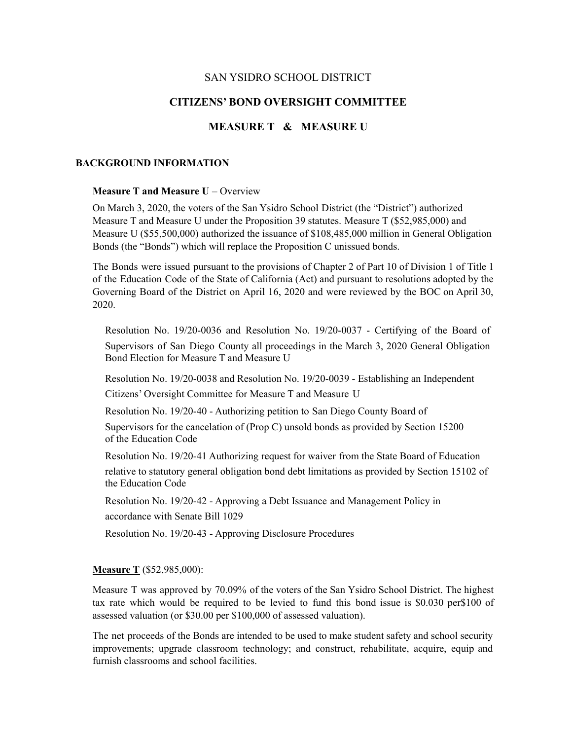# SAN YSIDRO SCHOOL DISTRICT

# **CITIZENS' BOND OVERSIGHT COMMITTEE**

# **MEASURE T & MEASURE U**

#### **BACKGROUND INFORMATION**

### **Measure T and Measure U** – Overview

On March 3, 2020, the voters of the San Ysidro School District (the "District") authorized Measure T and Measure U under the Proposition 39 statutes. Measure T (\$52,985,000) and Measure U (\$55,500,000) authorized the issuance of \$108,485,000 million in General Obligation Bonds (the "Bonds") which will replace the Proposition C unissued bonds.

The Bonds were issued pursuant to the provisions of Chapter 2 of Part 10 of Division 1 of Title 1 of the Education Code of the State of California (Act) and pursuant to resolutions adopted by the Governing Board of the District on April 16, 2020 and were reviewed by the BOC on April 30, 2020.

Resolution No. 19/20-0036 and Resolution No. 19/20-0037 - Certifying of the Board of Supervisors of San Diego County all proceedings in the March 3, 2020 General Obligation Bond Election for Measure T and Measure U

Resolution No. 19/20-0038 and Resolution No. 19/20-0039 - Establishing an Independent Citizens' Oversight Committee for Measure T and Measure U

Resolution No. 19/20-40 - Authorizing petition to San Diego County Board of Supervisors for the cancelation of (Prop C) unsold bonds as provided by Section 15200 of the Education Code

Resolution No. 19/20-41 Authorizing request for waiver from the State Board of Education relative to statutory general obligation bond debt limitations as provided by Section 15102 of the Education Code

Resolution No. 19/20-42 - Approving a Debt Issuance and Management Policy in accordance with Senate Bill 1029

Resolution No. 19/20-43 - Approving Disclosure Procedures

### **Measure T** (\$52,985,000):

Measure T was approved by 70.09% of the voters of the San Ysidro School District. The highest tax rate which would be required to be levied to fund this bond issue is \$0.030 per\$100 of assessed valuation (or \$30.00 per \$100,000 of assessed valuation).

The net proceeds of the Bonds are intended to be used to make student safety and school security improvements; upgrade classroom technology; and construct, rehabilitate, acquire, equip and furnish classrooms and school facilities.